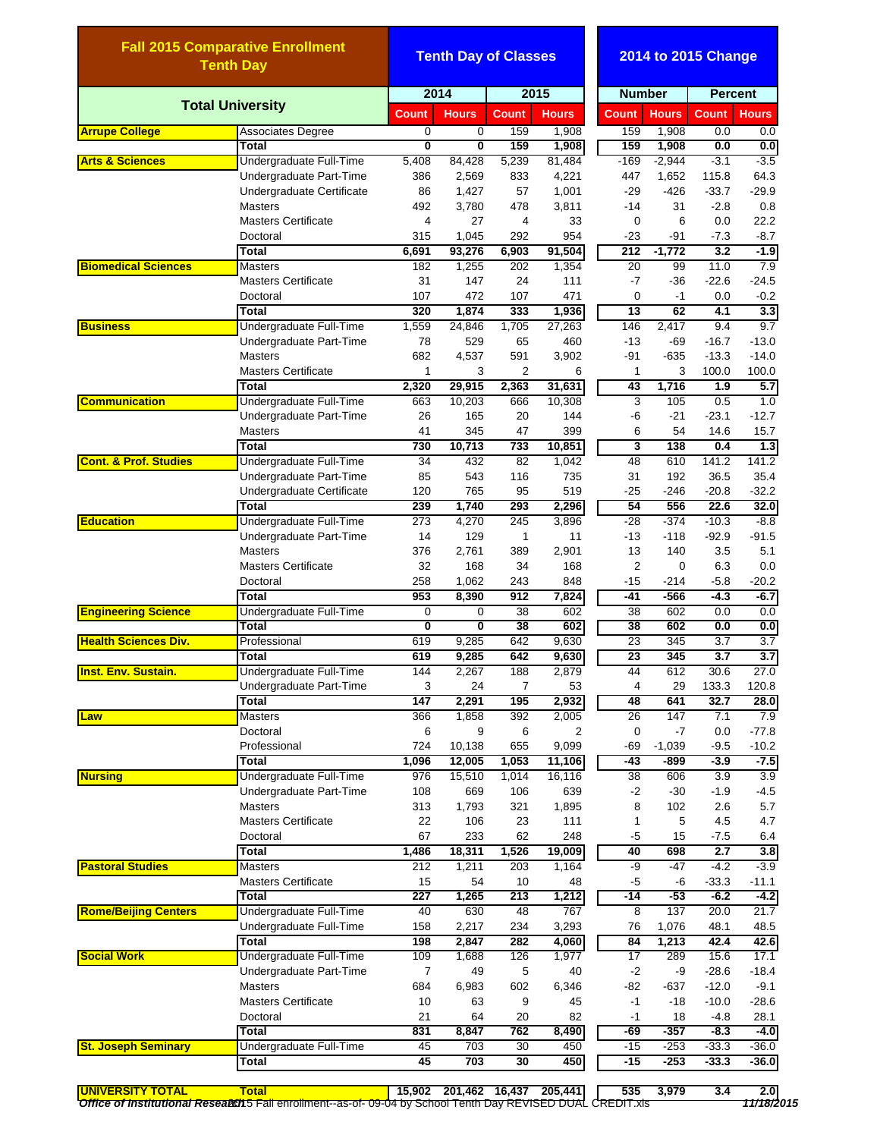|                                                | <b>Fall 2015 Comparative Enrollment</b><br><b>Tenth Day</b> |                | <b>Tenth Day of Classes</b> |                |                 |                 | 2014 to 2015 Change |                          |                              |  |  |
|------------------------------------------------|-------------------------------------------------------------|----------------|-----------------------------|----------------|-----------------|-----------------|---------------------|--------------------------|------------------------------|--|--|
|                                                |                                                             | 2014           |                             | 2015           |                 | <b>Number</b>   |                     | <b>Percent</b>           |                              |  |  |
|                                                | <b>Total University</b>                                     | <b>Count</b>   | <b>Hours</b>                | <b>Count</b>   | <b>Hours</b>    | <b>Count</b>    | <b>Hours</b>        | <b>Count</b>             | <b>Hours</b>                 |  |  |
| <b>Arrupe College</b>                          | <b>Associates Degree</b>                                    | 0              | 0                           | 159            | 1,908           | 159             | 1,908               | 0.0                      | 0.0                          |  |  |
|                                                | Total                                                       | 0              | 0                           | 159            | 1,908           | 159             | 1,908               | 0.0                      | 0.0                          |  |  |
| <b>Arts &amp; Sciences</b>                     | Undergraduate Full-Time                                     | 5,408          | 84,428                      | 5,239          | 81,484          | $-169$          | $-2,944$            | $-3.1$                   | $-3.5$                       |  |  |
|                                                | Undergraduate Part-Time                                     | 386            | 2,569                       | 833            | 4,221           | 447             | 1,652               | 115.8                    | 64.3                         |  |  |
|                                                | Undergraduate Certificate                                   | 86             | 1,427                       | 57             | 1,001           | $-29$           | $-426$              | $-33.7$                  | $-29.9$                      |  |  |
|                                                | <b>Masters</b>                                              | 492            | 3,780                       | 478            | 3,811           | $-14$           | 31                  | $-2.8$                   | 0.8                          |  |  |
|                                                | <b>Masters Certificate</b>                                  | $\overline{4}$ | 27                          | $\overline{4}$ | 33              | $\mathbf 0$     | 6                   | 0.0                      | 22.2                         |  |  |
|                                                | Doctoral                                                    | 315            | 1,045                       | 292            | 954             | $-23$           | $-91$               | $-7.3$                   | $-8.7$                       |  |  |
| <b>Biomedical Sciences</b>                     | <b>Total</b><br><b>Masters</b>                              | 6,691<br>182   | 93,276<br>1,255             | 6,903<br>202   | 91,504<br>1,354 | 212<br>20       | $-1,772$<br>99      | $\overline{3.2}$<br>11.0 | $-1.9$<br>7.9                |  |  |
|                                                | <b>Masters Certificate</b>                                  | 31             | 147                         | 24             | 111             | $-7$            | $-36$               | $-22.6$                  | $-24.5$                      |  |  |
|                                                | Doctoral                                                    | 107            | 472                         | 107            | 471             | $\mathbf 0$     | $-1$                | 0.0                      | $-0.2$                       |  |  |
|                                                | <b>Total</b>                                                | 320            | 1,874                       | 333            | 1,936           | $\overline{13}$ | 62                  | 4.1                      | 3.3                          |  |  |
| <b>Business</b>                                | Undergraduate Full-Time                                     | 1,559          | 24,846                      | 1,705          | 27,263          | 146             | 2,417               | 9.4                      | 9.7                          |  |  |
|                                                | Undergraduate Part-Time                                     | 78             | 529                         | 65             | 460             | $-13$           | -69                 | $-16.7$                  | $-13.0$                      |  |  |
|                                                | <b>Masters</b>                                              | 682            | 4,537                       | 591            | 3,902           | $-91$           | $-635$              | $-13.3$                  | $-14.0$                      |  |  |
|                                                | <b>Masters Certificate</b>                                  | 1              | 3                           | 2              | 6               | 1               | 3                   | 100.0                    | 100.0                        |  |  |
|                                                | Total                                                       | 2,320          | 29,915                      | 2,363          | 31,631          | 43              | 1,716               | 1.9                      | 5.7                          |  |  |
| <b>Communication</b>                           | Undergraduate Full-Time                                     | 663            | 10,203                      | 666            | 10,308          | 3               | 105                 | 0.5                      | 1.0                          |  |  |
|                                                | Undergraduate Part-Time                                     | 26             | 165                         | 20             | 144             | -6              | $-21$               | $-23.1$                  | $-12.7$                      |  |  |
|                                                | <b>Masters</b>                                              | 41             | 345                         | 47             | 399             | 6               | 54                  | 14.6                     | 15.7                         |  |  |
|                                                | <b>Total</b>                                                | 730            | 10,713                      | 733            | 10,851          | 3               | 138                 | 0.4                      | 1.3                          |  |  |
| <b>Cont. &amp; Prof. Studies</b>               | Undergraduate Full-Time                                     | 34             | 432                         | 82             | 1,042           | 48              | 610                 | 141.2                    | 141.2                        |  |  |
|                                                | Undergraduate Part-Time                                     | 85             | 543                         | 116            | 735             | 31              | 192                 | 36.5                     | 35.4                         |  |  |
|                                                | Undergraduate Certificate                                   | 120            | 765                         | 95             | 519             | $-25$           | $-246$              | $-20.8$                  | $-32.2$                      |  |  |
|                                                | Total                                                       | 239            | 1,740                       | 293            | 2,296           | 54              | 556                 | 22.6                     | 32.0                         |  |  |
| <b>Education</b><br><b>Engineering Science</b> | Undergraduate Full-Time                                     | 273            | 4,270                       | 245            | 3,896           | $-28$           | $-374$              | $-10.3$                  | $-8.8$                       |  |  |
|                                                | Undergraduate Part-Time                                     | 14             | 129                         | 1              | 11              | $-13$           | $-118$              | $-92.9$                  | $-91.5$                      |  |  |
|                                                | <b>Masters</b>                                              | 376            | 2,761                       | 389            | 2,901           | 13              | 140                 | 3.5                      | 5.1                          |  |  |
|                                                | <b>Masters Certificate</b>                                  | 32             | 168                         | 34             | 168             | 2               | $\mathbf 0$         | 6.3                      | 0.0                          |  |  |
|                                                | Doctoral                                                    | 258            | 1,062                       | 243            | 848             | $-15$           | -214                | $-5.8$                   | $-20.2$                      |  |  |
|                                                | <b>Total</b>                                                | 953            | 8,390                       | 912            | 7,824           | -41             | -566                | -4.3                     | $-6.7$                       |  |  |
|                                                | Undergraduate Full-Time                                     | 0              | 0                           | 38             | 602             | 38              | 602                 | 0.0                      | 0.0                          |  |  |
|                                                | Total                                                       | 0              | 0                           | 38             | 602             | 38              | 602                 | 0.0                      | 0.0                          |  |  |
| <b>Health Sciences Div.</b>                    | Professional                                                | 619            | 9,285                       | 642            | 9,630           | 23              | 345                 | 3.7                      | 3.7                          |  |  |
| <b>Inst. Env. Sustain.</b>                     | Total                                                       | 619            | 9,285                       | 642            | 9,630           | 23              | 345                 | 3.7                      | $\overline{3.7}$             |  |  |
|                                                | Undergraduate Full-Time                                     | 144            | 2,267                       | 188            | 2,879           | 44              | 612                 | 30.6                     | 27.0                         |  |  |
|                                                | Undergraduate Part-Time                                     | 3              | 24                          | $\overline{7}$ | 53              | 4               | 29                  | 133.3                    | 120.8                        |  |  |
|                                                | Total                                                       | 147            | 2,291                       | 195            | 2,932           | 48              | 641                 | 32.7                     | 28.0                         |  |  |
| Law                                            | <b>Masters</b>                                              | 366            | 1,858                       | 392            | 2,005           | 26              | 147                 | 7.1                      | 7.9                          |  |  |
|                                                | Doctoral                                                    | 6              | 9                           | 6              | 2               | 0               | $-7$                | 0.0                      | $-77.8$                      |  |  |
|                                                | Professional                                                | 724            | 10,138                      | 655            | 9,099           | -69             | $-1,039$            | $-9.5$                   | $-10.2$                      |  |  |
|                                                | Total                                                       | 1,096<br>976   | 12,005                      | 1,053          | 11,106          | -43             | -899                | $-3.9$                   | $-7.5$                       |  |  |
| <b>Nursing</b>                                 | Undergraduate Full-Time                                     |                | 15,510                      | 1,014          | 16,116          | 38              | 606                 | 3.9                      | 3.9                          |  |  |
|                                                | Undergraduate Part-Time<br><b>Masters</b>                   | 108<br>313     | 669<br>1,793                | 106<br>321     | 639             | $-2$<br>8       | $-30$<br>102        | $-1.9$<br>2.6            | $-4.5$<br>5.7                |  |  |
|                                                | <b>Masters Certificate</b>                                  | 22             | 106                         | 23             | 1,895<br>111    | 1               | 5                   | 4.5                      | 4.7                          |  |  |
|                                                | Doctoral                                                    | 67             | 233                         | 62             | 248             | -5              | 15                  | $-7.5$                   | 6.4                          |  |  |
|                                                | <b>Total</b>                                                | 1,486          | 18,311                      | 1,526          | 19,009          | 40              | 698                 | 2.7                      | 3.8                          |  |  |
| <b>Pastoral Studies</b>                        | <b>Masters</b>                                              | 212            | 1,211                       | 203            | 1,164           | -9              | $-47$               | $-4.2$                   | $-3.9$                       |  |  |
|                                                | <b>Masters Certificate</b>                                  | 15             | 54                          | 10             | 48              | -5              | -6                  | $-33.3$                  | $-11.1$                      |  |  |
|                                                | Total                                                       | 227            | 1,265                       | 213            | 1,212           | -14             | $-53$               | $-6.2$                   | $-4.2$                       |  |  |
| <b>Rome/Beijing Centers</b>                    | Undergraduate Full-Time                                     | 40             | 630                         | 48             | 767             | 8               | 137                 | 20.0                     | 21.7                         |  |  |
|                                                | Undergraduate Full-Time                                     | 158            | 2,217                       | 234            | 3,293           | 76              | 1,076               | 48.1                     | 48.5                         |  |  |
|                                                | <b>Total</b>                                                | 198            | 2,847                       | 282            | 4,060           | 84              | 1,213               | 42.4                     | 42.6                         |  |  |
| <b>Social Work</b>                             | Undergraduate Full-Time                                     | 109            | 1,688                       | 126            | 1,977           | 17              | 289                 | 15.6                     | 17.1                         |  |  |
|                                                | Undergraduate Part-Time                                     | $\overline{7}$ | 49                          | 5              | 40              | $-2$            | -9                  | $-28.6$                  | $-18.4$                      |  |  |
|                                                | <b>Masters</b>                                              | 684            | 6,983                       | 602            | 6,346           | -82             | $-637$              | $-12.0$                  | $-9.1$                       |  |  |
|                                                | <b>Masters Certificate</b>                                  | 10             | 63                          | 9              | 45              | $-1$            | $-18$               | $-10.0$                  | $-28.6$                      |  |  |
|                                                |                                                             | 21             | 64                          | 20             | 82              | $-1$            | 18                  | $-4.8$                   | 28.1                         |  |  |
|                                                | Doctoral                                                    |                |                             |                |                 |                 |                     |                          |                              |  |  |
|                                                | <b>Total</b>                                                |                |                             |                |                 | -69             |                     | $-8.3$                   |                              |  |  |
| <b>St. Joseph Seminary</b>                     |                                                             | 831<br>45      | 8,847<br>703                | 762<br>30      | 8,490<br>450    | $-15$           | $-357$<br>$-253$    | $-33.3$                  |                              |  |  |
|                                                | Undergraduate Full-Time<br>Total                            | 45             | 703                         | 30             | 450             | $-15$           | $-253$              | $-33.3$                  | $-4.0$<br>$-36.0$<br>$-36.0$ |  |  |